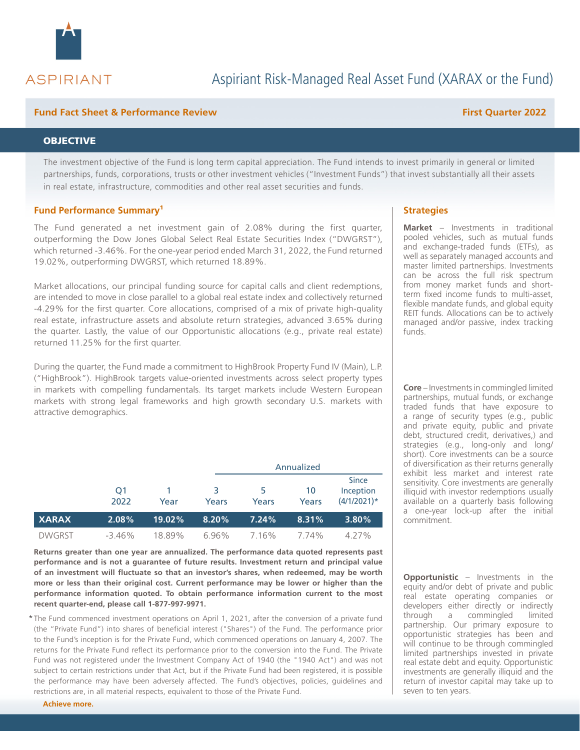

## **Fund Fact Sheet & Performance Review First Quarter 2022**

## **OBJECTIVE**

The investment objective of the Fund is long term capital appreciation. The Fund intends to invest primarily in general or limited partnerships, funds, corporations, trusts or other investment vehicles ("Investment Funds") that invest substantially all their assets in real estate, infrastructure, commodities and other real asset securities and funds.

### **Fund Performance Summary**<sup>1</sup> **All and Strategies Strategies Strategies**

The Fund generated a net investment gain of 2.08% during the first quarter, outperforming the Dow Jones Global Select Real Estate Securities Index ("DWGRST"), which returned -3.46%. For the one-year period ended March 31, 2022, the Fund returned 19.02%, outperforming DWGRST, which returned 18.89%.

Market allocations, our principal funding source for capital calls and client redemptions, are intended to move in close parallel to a global real estate index and collectively returned -4.29% for the first quarter. Core allocations, comprised of a mix of private high-quality real estate, infrastructure assets and absolute return strategies, advanced 3.65% during the quarter. Lastly, the value of our Opportunistic allocations (e.g., private real estate) returned 11.25% for the first quarter.

During the quarter, the Fund made a commitment to HighBrook Property Fund IV (Main), L.P. ("HighBrook"). HighBrook targets value-oriented investments across select property types in markets with compelling fundamentals. Its target markets include Western European markets with strong legal frameworks and high growth secondary U.S. markets with attractive demographics.

|               |            |        |            | Annualized |             |                                             |  |
|---------------|------------|--------|------------|------------|-------------|---------------------------------------------|--|
|               | O1<br>2022 | Year   | 3<br>Years | 5<br>Years | 10<br>Years | <b>Since</b><br>Inception<br>$(4/1/2021)$ * |  |
| <b>XARAX</b>  | 2.08%      | 19.02% | 8.20%      | 7.24%      | 8.31%       | 3.80%                                       |  |
| <b>DWGRST</b> | -3.46%     | 18.89% | 6.96%      | 7.16%      | 7.74%       | 4.27%                                       |  |

**Returns greater than one year are annualized. The performance data quoted represents past performance and is not a guarantee of future results. Investment return and principal value of an investment will fluctuate so that an investor's shares, when redeemed, may be worth more or less than their original cost. Current performance may be lower or higher than the performance information quoted. To obtain performance information current to the most recent quarter-end, please call 1-877-997-9971.**

\* The Fund commenced investment operations on April 1, 2021, after the conversion of a private fund (the "Private Fund") into shares of beneficial interest ("Shares") of the Fund. The performance prior to the Fund's inception is for the Private Fund, which commenced operations on January 4, 2007. The returns for the Private Fund reflect its performance prior to the conversion into the Fund. The Private Fund was not registered under the Investment Company Act of 1940 (the "1940 Act") and was not subject to certain restrictions under that Act, but if the Private Fund had been registered, it is possible the performance may have been adversely affected. The Fund's objectives, policies, guidelines and restrictions are, in all material respects, equivalent to those of the Private Fund.

**Achieve more.**

**Market** – Investments in traditional pooled vehicles, such as mutual funds and exchange-traded funds (ETFs), as well as separately managed accounts and master limited partnerships. Investments can be across the full risk spectrum from money market funds and shortterm fixed income funds to multi-asset, flexible mandate funds, and global equity REIT funds. Allocations can be to actively managed and/or passive, index tracking funds.

**Core** – Investments in commingled limited partnerships, mutual funds, or exchange traded funds that have exposure to a range of security types (e.g., public and private equity, public and private debt, structured credit, derivatives,) and strategies (e.g., long-only and long/ short). Core investments can be a source of diversification as their returns generally exhibit less market and interest rate sensitivity. Core investments are generally illiquid with investor redemptions usually available on a quarterly basis following a one-year lock-up after the initial commitment.

**Opportunistic** – Investments in the equity and/or debt of private and public real estate operating companies or developers either directly or indirectly through a commingled limited partnership. Our primary exposure to opportunistic strategies has been and will continue to be through commingled limited partnerships invested in private real estate debt and equity. Opportunistic investments are generally illiquid and the return of investor capital may take up to seven to ten years.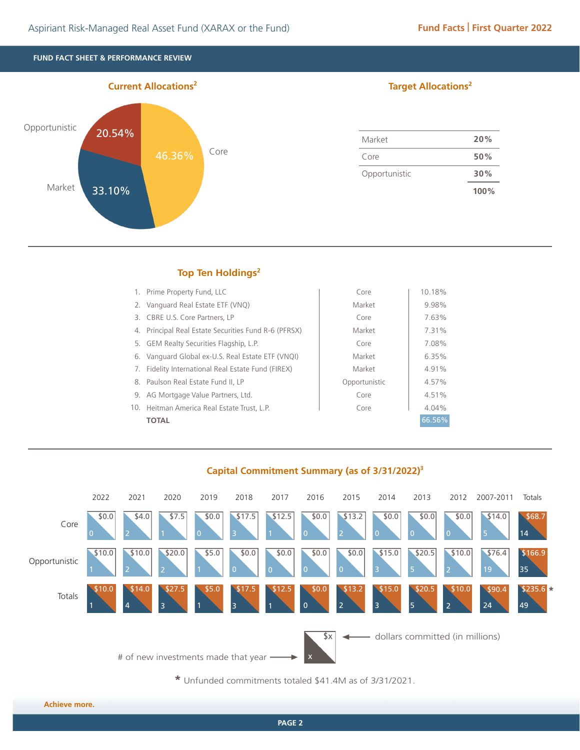**FUND FACT SHEET & PERFORMANCE REVIEW**



## **Target Allocations2**

| Market        | 20%  |
|---------------|------|
| Core          | 50%  |
| Opportunistic | 30%  |
|               | 100% |

# **Top Ten Holdings<sup>2</sup>**

| 1. Prime Property Fund, LLC                          | Core          | 10.18% |
|------------------------------------------------------|---------------|--------|
| 2. Vanguard Real Estate ETF (VNQ)                    | Market        | 9.98%  |
| 3. CBRE U.S. Core Partners, LP                       | Core          | 7.63%  |
| 4. Principal Real Estate Securities Fund R-6 (PFRSX) | Market        | 7.31%  |
| 5. GEM Realty Securities Flagship, L.P.              | Core          | 7.08%  |
| 6. Vanguard Global ex-U.S. Real Estate ETF (VNQI)    | Market        | 6.35%  |
| Fidelity International Real Estate Fund (FIREX)      | Market        | 4.91%  |
| 8. Paulson Real Estate Fund II, LP                   | Opportunistic | 4.57%  |
| 9. AG Mortgage Value Partners, Ltd.                  | Core          | 4.51%  |
| 10. Heitman America Real Estate Trust, L.P.          | Core          | 4.04%  |
| TOTAL                                                |               | 66.56% |



**Capital Commitment Summary (as of 3/31/2022)3**

**\*** Unfunded commitments totaled \$41.4M as of 3/31/2021.